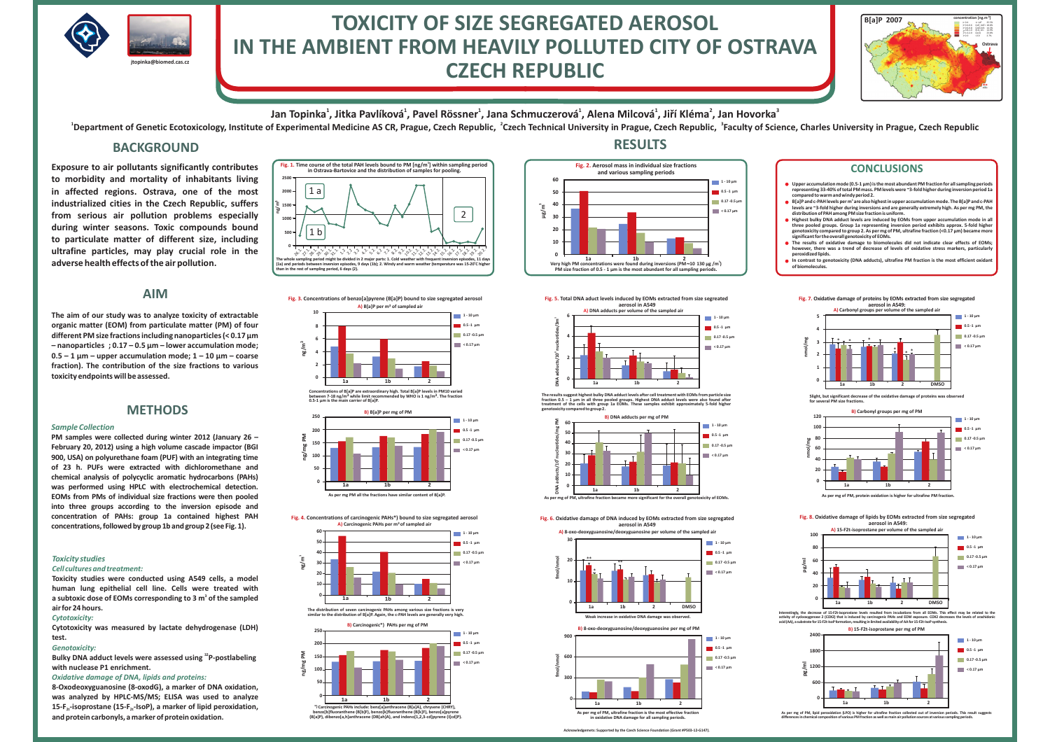

# **TOXICITY OF SIZE SEGREGATED AEROSOL IN THE AMBIENT FROM HEAVILY POLLUTED CITY OF OSTRAVACZECH REPUBLIC**

Jan Topinka $^1$ , Jitka Pavlíková $^1$ , Pavel Rössner $^1$ , Jana Schmuczerová $^1$ , Alena Milcová $^1$ , Jiří Kléma $^2$ , Jan Hovorka $^3$ 

<sup>1</sup>Department of Genetic Ecotoxicology, Institute of Experimental Medicine AS CR, Prague, Czech Republic, <sup>2</sup>Czech Technical University in Prague, Czech Republic, <sup>3</sup>Faculty of Science, Charles University in Prague, Czech

### **BACKGROUND**

**Exposure to air pollutants significantly contributesto morbidity and mortality of inhabitants living in affected regions. Ostrava, one of the most industrialized cities in the Czech Republic, suffers from serious air pollution problems especially during winter seasons. Toxic compounds bound to particulate matter of different size, including ultrafine particles, may play crucial role in theadverse health effects of the air pollution.**

### **AIM**

**The aim of our study was to analyze toxicity of extractable organic matter (EOM) from particulate matter (PM) of four different PM size fractions including nanoparticles (< 0.17μm t – nanopar icles ; 0.17 – 0.5 <sup>μ</sup><sup>m</sup> – lower accumulation mode;**  $0.5 - 1$   $\mu$ m – upper accumulation mode;  $1 - 10$   $\mu$ m – coarse **fraction). The contribution of the size fractions to varioustoxicity endpoints will be assessed.**

### **METHODS**

#### *Sample Collection*

 **PM samples were collected during winter 2012 (January 26 – February 20, 2012) using <sup>a</sup> high volume cascade impactor (BGI 900, USA) on polyurethane foam (PUF) with an integrating time of 23 h. PUFs were extracted with dichloromethane and chemical analysis of polycyclic aromatic hydrocarbons (PAHs) was performed using HPLC with electrochemical detection. EOMs from PMs of individual size fractions were then pooled into three groups according to the inversion episode and concentration of PAHs: group 1a contained highest PAHconcentrations, followed by group 1b and group <sup>2</sup> (see Fig. 1).**

#### *Toxicity studies*

#### *Cell cultures and treatment:*

 **Toxicity studies were conducted using A549 cells, <sup>a</sup> model human lung epithelial cell line. Cells were treated with**a subtoxic dose of EOMs corresponding to 3 m $^{\rm 3}$  of the sampled **air for 24 hours.**

#### *Cytotoxicity:*

 **Cytotoxicity was measured by lactate dehydrogenase (LDH)test.**

#### *Genotoxicity:*

 **Bulky DNA adduct levels were assessed using P-postlabeling32 with nuclease P1 enrichment.**

### *Oxidative damage of DNA, lipids and proteins:*

**8-Oxodeoxyguanosine (8-oxodG), <sup>a</sup> marker of DNA oxidation, was analyzed by HPLC-MS/MS; ELISA was used to analyze 15-F -isoprostane (15-F -IsoP), <sup>a</sup> marker of lipid peroxidation,2t 2tand protein carbonyls, amarker of protein oxidation.**



**A) B[a]P per m of sampled air3Fig. 3. Concentrations of benzo[a]pyrene (B[a]P) bound to size segregated aerosol**



<sup>3</sup> while limit recommended by WHO is 1 ng/m<sup>3</sup>. The fraction between 7-18 ng/m<sup>3</sup> while limit recommended by WHO is 1 ng/m<sup>3</sup>. The fraction<br>0.5-1 µm is the main carrier of B[a]P.



**Fig. 4. Concentrations of carcinogenic PAHs\*) bound to size segregated aerosol A) Carcinogenic PAHs per m<sup>3</sup>of sampled air**



**ng/m**





## **RESULTS**



#### **Fig. 5. Total DNA aduct levels induced by EOMs extracted from size segreatedaerosol in A549**



The results suggest highest bulky DNA adduct levels after cell treatment with EOMs from particle size<br>fraction 0.5 – 1 µm in all three pooled groups. Highest DNA adduct levels were also found after<br>treatment of the cells w **genotoxicity compared to group 2.**



**Fig. 6. Oxidative damage of DNA induced by EOMs extracted from size segregatedaerosol in A549**



**B)**



**Acknowledgemented by the Czech Science Foundation Foundation (Grant Article in oxidative DNA damage for all sampling periods.**

**-3 B[a]P 2007**

Upper accumulation mode (0.5-1 μm) is the most abundant PM fraction for all sampling periods representing 33-40% of total PM mass. PM levels were ~3-fold higher during inversion period 1a<br>compared to warm and windy period 2.

**Ostrava**(LAT, UAT>V25.5%**concentration [ng.m ]**

- B[a]P and c-PAH levels per m˚ are also highest in upper accumulation mode. The B[a]P and c-PAH<br>levels are ~3-fold higher during inversions and are generally extremely high. As per mg PM, the<br>distribution of PAH among PM si **•** B[a]P and c-PAH levels per m<sup>2</sup>
- Highest bulky DNA adduct levels are induced by EOMs from upper accumulation mode in all<br>three pooled groups. Group 1a representing inversion period exhibits approx. 5-fold higher<br>genotoxicity compared to group 2. As per mg **significant for the overall genotoxicity of EOMs.**
- The results of oxidative damage to biomolecules did not indicate clear effects of EOMs; however, there was a trend of decrease of levels of oxidative stress markers, particularly **peroxidized lipids.**
- In contrast to genotoxicity (DNA adducts), ultrafine PM fraction is the most efficient oxidant **of biomolecules.**

#### **Fig. 7. Oxidative damage of proteins by EOMs extracted from size segregatedaerosol in A549:**



**Slight, but significant decrease of the oxidative damage of proteins was observed for several PM size fractions.**





Interestingly, the decrease of 15-F2t-isoprostane levels resulted from incubations from all EOMs. This effect may be related to the<br>activity of cyclooxygenase 2 (COX2) that is induced by carcinogenic PAHs and EOM exposure. r ena com exposere. Ol



As per mg of PM, lipid peroxidation (LPO) is higher for ultrafine fraction collected out of i **differences in chemical composition of various PM fractionas well asmain air pollution sources at various sampling periods.**





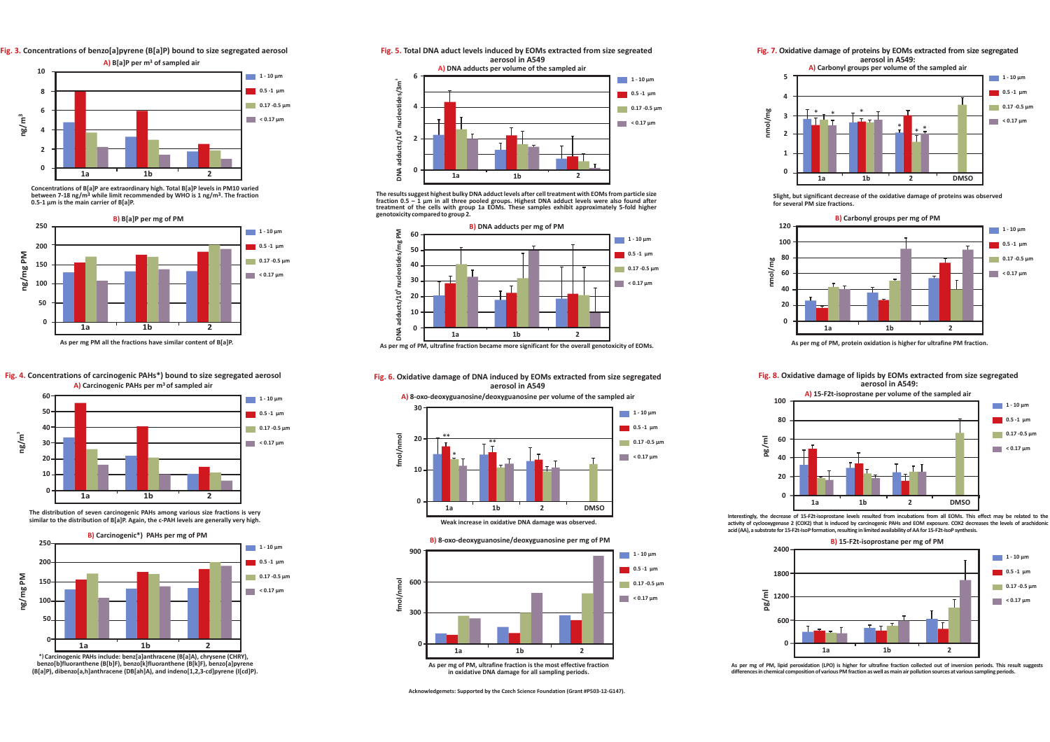**Fig. 3. Concentrations of benzo[a]pyrene (B[a]P) bound to size segregated aerosol**



**Concentrations of B[a]P are extraordinary high. Total B[a]P levels in PM10 varied**between 7-18 ng/m<sup>3</sup> while limit recommended by WHO is 1 ng/m<sup>3</sup>. The fraction **0.5-1 µm is the main carrier of B[a]P.**



### **Fig. 4. Concentrations of carcinogenic PAHs\*) bound to size segregated aerosol**



The distribution of seven carcinogenic PAHs among various size fractions is very **similar to the distribution of B[a]P. Again, the c-PAH levels are generally very high.**



**(B[a]P), dibenzo[a,h]anthracene (DB[ah]A), and indeno[1,2,3-cd]pyrene (I[cd]P).**



The results suggest highest bulky DNA adduct levels after cell treatment with EOMs from particle size<br>fraction 0.5 – 1 µm in all three pooled groups. Highest DNA adduct levels were also found after treatment of the cells with group 1a EOMs. These samples exhibit approximately 5-fold higher **genotoxicity compared to group 2.**



**As per mg of PM, ultrafine fraction became more significant for the overall genotoxicity of EOMs.**







**Acknowledgemets: Supported by the Czech Science Foundation (Grant #P503-12-G147).**

**Fig. 7. Oxidative damage of proteins by EOMs extracted from size segregatedaerosol in A549:**



**Slight, but significant decrease of the oxidative damage of proteins was observedfor several PM size fractions.**



**As per mg of PM, protein oxidation is higher for ultrafine PM fraction.**

**Fig. 8. Oxidative damage of lipids by EOMs extracted from size segregatedaerosol in A549:**



Interestingly, the decrease of 15-F2t-isoprostane levels resulted from incubations from all EOMs. This effect may be related to the activity of cyclooxygenase 2 (COX2) that is induced by carcinogenic PAHs and EOM exposure. COX2 decreases the levels of arachidon acid (AA), a substrate for 15-F2t-IsoP formation, resulting in limited availability of AA for 15-F2t-IsoP synthesis.



As per mg of PM, lipid peroxidation (LPO) is higher for ultrafine fraction collected out of inversion periods. This result suggests differences in chemical composition of various PM fraction as well as main air pollution sources at various sampling periods.<br>.